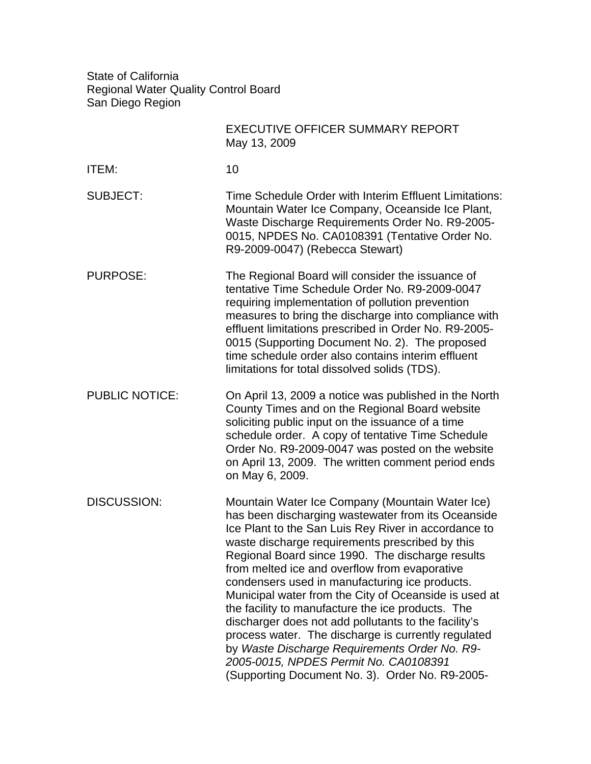State of California Regional Water Quality Control Board San Diego Region

|                       | <b>EXECUTIVE OFFICER SUMMARY REPORT</b><br>May 13, 2009                                                                                                                                                                                                                                                                                                                                                                                                                                                                                                                                                                                                                                                                                           |
|-----------------------|---------------------------------------------------------------------------------------------------------------------------------------------------------------------------------------------------------------------------------------------------------------------------------------------------------------------------------------------------------------------------------------------------------------------------------------------------------------------------------------------------------------------------------------------------------------------------------------------------------------------------------------------------------------------------------------------------------------------------------------------------|
| <b>ITEM:</b>          | 10                                                                                                                                                                                                                                                                                                                                                                                                                                                                                                                                                                                                                                                                                                                                                |
| <b>SUBJECT:</b>       | Time Schedule Order with Interim Effluent Limitations:<br>Mountain Water Ice Company, Oceanside Ice Plant,<br>Waste Discharge Requirements Order No. R9-2005-<br>0015, NPDES No. CA0108391 (Tentative Order No.<br>R9-2009-0047) (Rebecca Stewart)                                                                                                                                                                                                                                                                                                                                                                                                                                                                                                |
| <b>PURPOSE:</b>       | The Regional Board will consider the issuance of<br>tentative Time Schedule Order No. R9-2009-0047<br>requiring implementation of pollution prevention<br>measures to bring the discharge into compliance with<br>effluent limitations prescribed in Order No. R9-2005-<br>0015 (Supporting Document No. 2). The proposed<br>time schedule order also contains interim effluent<br>limitations for total dissolved solids (TDS).                                                                                                                                                                                                                                                                                                                  |
| <b>PUBLIC NOTICE:</b> | On April 13, 2009 a notice was published in the North<br>County Times and on the Regional Board website<br>soliciting public input on the issuance of a time<br>schedule order. A copy of tentative Time Schedule<br>Order No. R9-2009-0047 was posted on the website<br>on April 13, 2009. The written comment period ends<br>on May 6, 2009.                                                                                                                                                                                                                                                                                                                                                                                                    |
| <b>DISCUSSION:</b>    | Mountain Water Ice Company (Mountain Water Ice)<br>has been discharging wastewater from its Oceanside<br>Ice Plant to the San Luis Rey River in accordance to<br>waste discharge requirements prescribed by this<br>Regional Board since 1990. The discharge results<br>from melted ice and overflow from evaporative<br>condensers used in manufacturing ice products.<br>Municipal water from the City of Oceanside is used at<br>the facility to manufacture the ice products. The<br>discharger does not add pollutants to the facility's<br>process water. The discharge is currently regulated<br>by Waste Discharge Requirements Order No. R9-<br>2005-0015, NPDES Permit No. CA0108391<br>(Supporting Document No. 3). Order No. R9-2005- |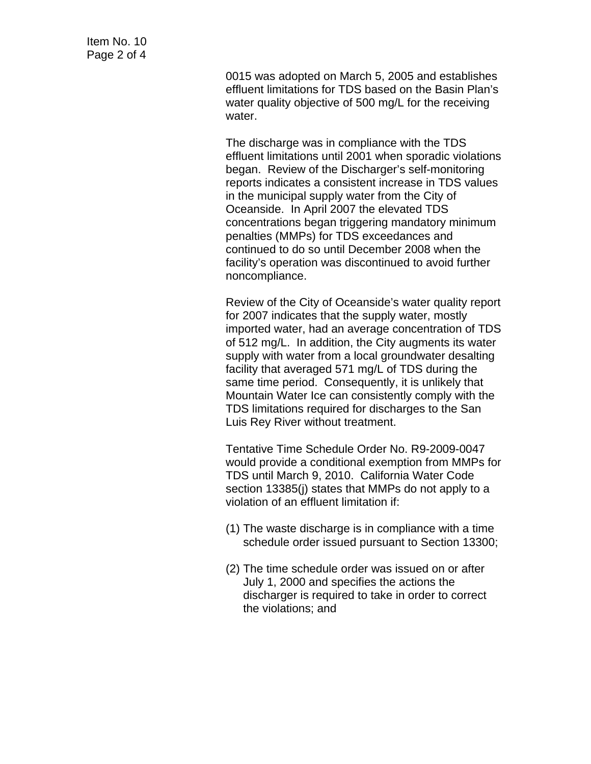0015 was adopted on March 5, 2005 and establishes effluent limitations for TDS based on the Basin Plan's water quality objective of 500 mg/L for the receiving water.

The discharge was in compliance with the TDS effluent limitations until 2001 when sporadic violations began. Review of the Discharger's self-monitoring reports indicates a consistent increase in TDS values in the municipal supply water from the City of Oceanside. In April 2007 the elevated TDS concentrations began triggering mandatory minimum penalties (MMPs) for TDS exceedances and continued to do so until December 2008 when the facility's operation was discontinued to avoid further noncompliance.

Review of the City of Oceanside's water quality report for 2007 indicates that the supply water, mostly imported water, had an average concentration of TDS of 512 mg/L. In addition, the City augments its water supply with water from a local groundwater desalting facility that averaged 571 mg/L of TDS during the same time period. Consequently, it is unlikely that Mountain Water Ice can consistently comply with the TDS limitations required for discharges to the San Luis Rey River without treatment.

Tentative Time Schedule Order No. R9-2009-0047 would provide a conditional exemption from MMPs for TDS until March 9, 2010. California Water Code section 13385(j) states that MMPs do not apply to a violation of an effluent limitation if:

- (1) The waste discharge is in compliance with a time schedule order issued pursuant to Section 13300;
- (2) The time schedule order was issued on or after July 1, 2000 and specifies the actions the discharger is required to take in order to correct the violations; and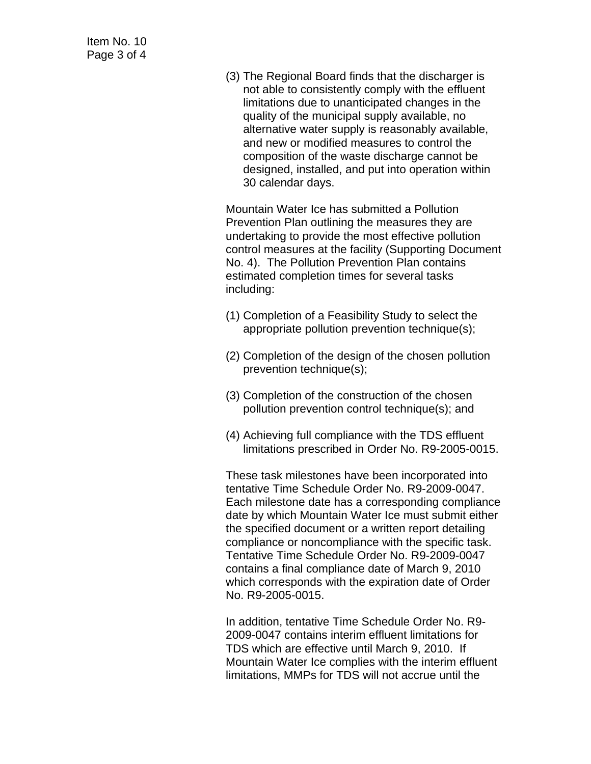(3) The Regional Board finds that the discharger is not able to consistently comply with the effluent limitations due to unanticipated changes in the quality of the municipal supply available, no alternative water supply is reasonably available, and new or modified measures to control the composition of the waste discharge cannot be designed, installed, and put into operation within 30 calendar days.

Mountain Water Ice has submitted a Pollution Prevention Plan outlining the measures they are undertaking to provide the most effective pollution control measures at the facility (Supporting Document No. 4). The Pollution Prevention Plan contains estimated completion times for several tasks including:

- (1) Completion of a Feasibility Study to select the appropriate pollution prevention technique(s);
- (2) Completion of the design of the chosen pollution prevention technique(s);
- (3) Completion of the construction of the chosen pollution prevention control technique(s); and
- (4) Achieving full compliance with the TDS effluent limitations prescribed in Order No. R9-2005-0015.

These task milestones have been incorporated into tentative Time Schedule Order No. R9-2009-0047. Each milestone date has a corresponding compliance date by which Mountain Water Ice must submit either the specified document or a written report detailing compliance or noncompliance with the specific task. Tentative Time Schedule Order No. R9-2009-0047 contains a final compliance date of March 9, 2010 which corresponds with the expiration date of Order No. R9-2005-0015.

In addition, tentative Time Schedule Order No. R9- 2009-0047 contains interim effluent limitations for TDS which are effective until March 9, 2010. If Mountain Water Ice complies with the interim effluent limitations, MMPs for TDS will not accrue until the